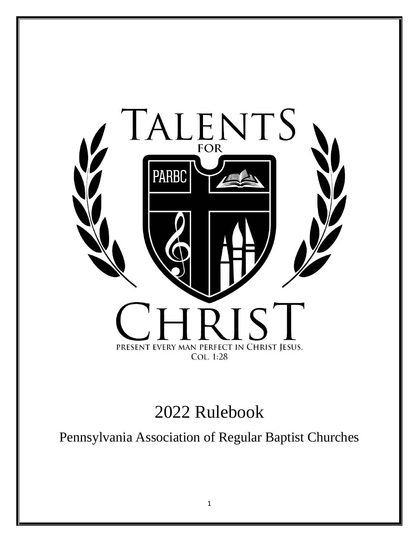

# Rulebook

Pennsylvania Association of Regular Baptist Churches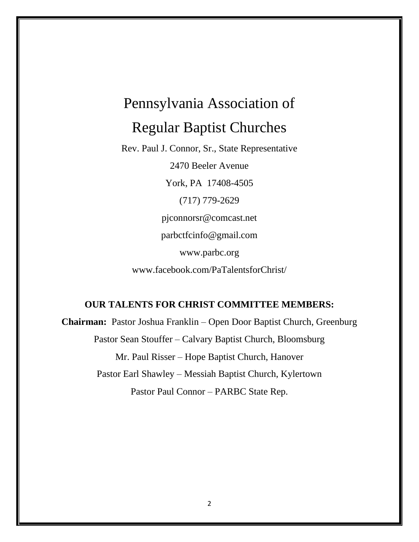# Pennsylvania Association of Regular Baptist Churches

Rev. Paul J. Connor, Sr., State Representative 2470 Beeler Avenue York, PA 17408-4505 (717) 779-2629 pjconnorsr@comcast.net parbctfcinfo@gmail.com www.parbc.org www.facebook.com/PaTalentsforChrist/

# **OUR TALENTS FOR CHRIST COMMITTEE MEMBERS:**

**Chairman:** Pastor Joshua Franklin – Open Door Baptist Church, Greenburg Pastor Sean Stouffer – Calvary Baptist Church, Bloomsburg Mr. Paul Risser – Hope Baptist Church, Hanover Pastor Earl Shawley – Messiah Baptist Church, Kylertown Pastor Paul Connor – PARBC State Rep.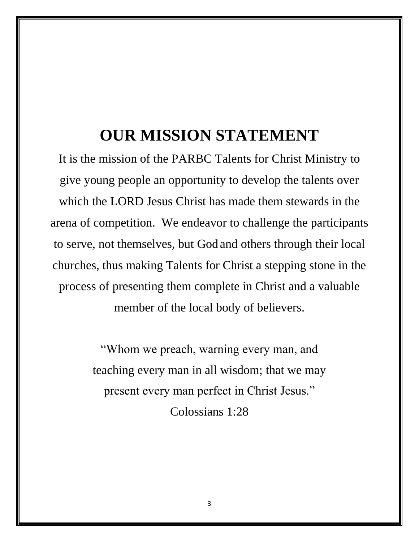# **OUR MISSION STATEMENT**

It is the mission of the PARBC Talents for Christ Ministry to give young people an opportunity to develop the talents over which the LORD Jesus Christ has made them stewards in the arena of competition. We endeavor to challenge the participants to serve, not themselves, but God and others through their local churches, thus making Talents for Christ a stepping stone in the process of presenting them complete in Christ and a valuable member of the local body of believers.

> "Whom we preach, warning every man, and teaching every man in all wisdom; that we may present every man perfect in Christ Jesus." Colossians 1:28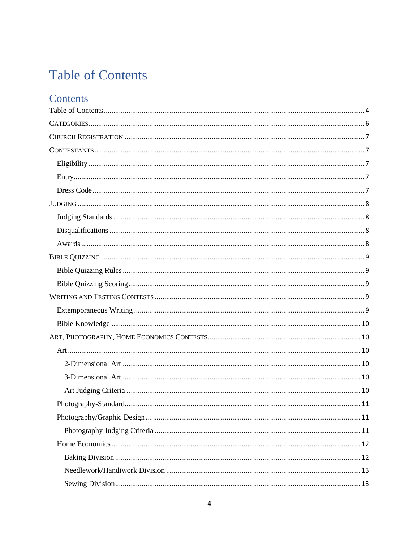# <span id="page-3-0"></span>**Table of Contents**

# Contents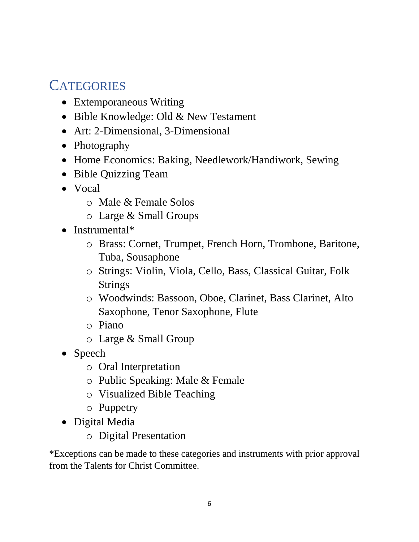# <span id="page-5-0"></span>**CATEGORIES**

- Extemporaneous Writing
- Bible Knowledge: Old & New Testament
- Art: 2-Dimensional, 3-Dimensional
- Photography
- Home Economics: Baking, Needlework/Handiwork, Sewing
- Bible Quizzing Team
- Vocal
	- o Male & Female Solos
	- o Large & Small Groups
- Instrumental\*
	- o Brass: Cornet, Trumpet, French Horn, Trombone, Baritone, Tuba, Sousaphone
	- o Strings: Violin, Viola, Cello, Bass, Classical Guitar, Folk Strings
	- o Woodwinds: Bassoon, Oboe, Clarinet, Bass Clarinet, Alto Saxophone, Tenor Saxophone, Flute
	- o Piano
	- o Large & Small Group
- Speech
	- o Oral Interpretation
	- o Public Speaking: Male & Female
	- o Visualized Bible Teaching
	- o Puppetry
- Digital Media
	- o Digital Presentation

\*Exceptions can be made to these categories and instruments with prior approval from the Talents for Christ Committee.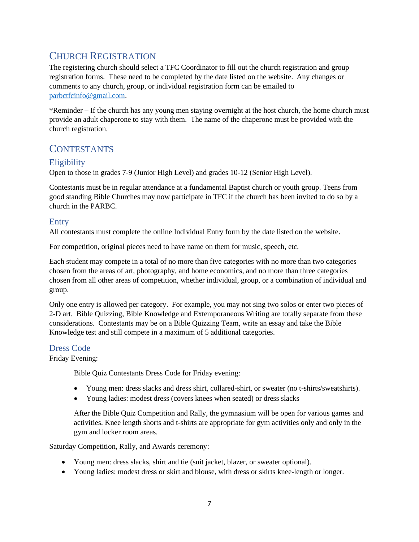# <span id="page-6-0"></span>CHURCH REGISTRATION

The registering church should select a TFC Coordinator to fill out the church registration and group registration forms. These need to be completed by the date listed on the website. Any changes or comments to any church, group, or individual registration form can be emailed to [parbctfcinfo@gmail.com.](mailto:parbctfcinfo@gmail.com)

\*Reminder – If the church has any young men staying overnight at the host church, the home church must provide an adult chaperone to stay with them. The name of the chaperone must be provided with the church registration.

# <span id="page-6-1"></span>**CONTESTANTS**

# <span id="page-6-2"></span>**Eligibility**

Open to those in grades 7-9 (Junior High Level) and grades 10-12 (Senior High Level).

Contestants must be in regular attendance at a fundamental Baptist church or youth group. Teens from good standing Bible Churches may now participate in TFC if the church has been invited to do so by a church in the PARBC.

## <span id="page-6-3"></span>Entry

All contestants must complete the online Individual Entry form by the date listed on the website.

For competition, original pieces need to have name on them for music, speech, etc.

Each student may compete in a total of no more than five categories with no more than two categories chosen from the areas of art, photography, and home economics, and no more than three categories chosen from all other areas of competition, whether individual, group, or a combination of individual and group.

Only one entry is allowed per category. For example, you may not sing two solos or enter two pieces of 2-D art. Bible Quizzing, Bible Knowledge and Extemporaneous Writing are totally separate from these considerations. Contestants may be on a Bible Quizzing Team, write an essay and take the Bible Knowledge test and still compete in a maximum of 5 additional categories.

#### <span id="page-6-4"></span>Dress Code

#### Friday Evening:

Bible Quiz Contestants Dress Code for Friday evening:

- Young men: dress slacks and dress shirt, collared-shirt, or sweater (no t-shirts/sweatshirts).
- Young ladies: modest dress (covers knees when seated) or dress slacks

After the Bible Quiz Competition and Rally, the gymnasium will be open for various games and activities. Knee length shorts and t-shirts are appropriate for gym activities only and only in the gym and locker room areas.

Saturday Competition, Rally, and Awards ceremony:

- Young men: dress slacks, shirt and tie (suit jacket, blazer, or sweater optional).
- Young ladies: modest dress or skirt and blouse, with dress or skirts knee-length or longer.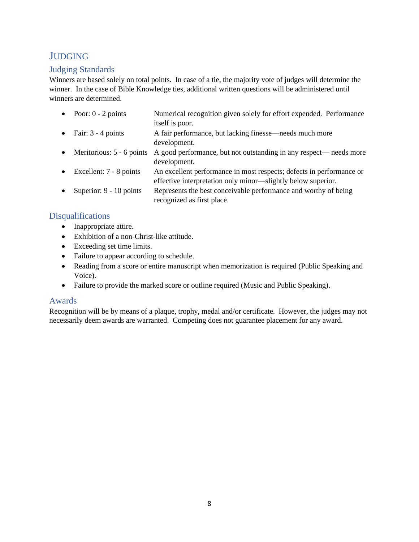# <span id="page-7-0"></span>**JUDGING**

# <span id="page-7-1"></span>Judging Standards

Winners are based solely on total points. In case of a tie, the majority vote of judges will determine the winner. In the case of Bible Knowledge ties, additional written questions will be administered until winners are determined.

|           | • Poor: $0 - 2$ points    | Numerical recognition given solely for effort expended. Performance  |
|-----------|---------------------------|----------------------------------------------------------------------|
|           |                           | itself is poor.                                                      |
|           | • Fair: $3 - 4$ points    | A fair performance, but lacking finesse—needs much more              |
|           |                           | development.                                                         |
| $\bullet$ | Meritorious: 5 - 6 points | A good performance, but not outstanding in any respect—needs more    |
|           |                           | development.                                                         |
| $\bullet$ | Excellent: 7 - 8 points   | An excellent performance in most respects; defects in performance or |
|           |                           | effective interpretation only minor—slightly below superior.         |
| $\bullet$ | Superior: 9 - 10 points   | Represents the best conceivable performance and worthy of being      |
|           |                           | recognized as first place.                                           |

# <span id="page-7-2"></span>Disqualifications

- Inappropriate attire.
- Exhibition of a non-Christ-like attitude.
- Exceeding set time limits.
- Failure to appear according to schedule.
- Reading from a score or entire manuscript when memorization is required (Public Speaking and Voice).
- Failure to provide the marked score or outline required (Music and Public Speaking).

# <span id="page-7-3"></span>Awards

Recognition will be by means of a plaque, trophy, medal and/or certificate. However, the judges may not necessarily deem awards are warranted. Competing does not guarantee placement for any award.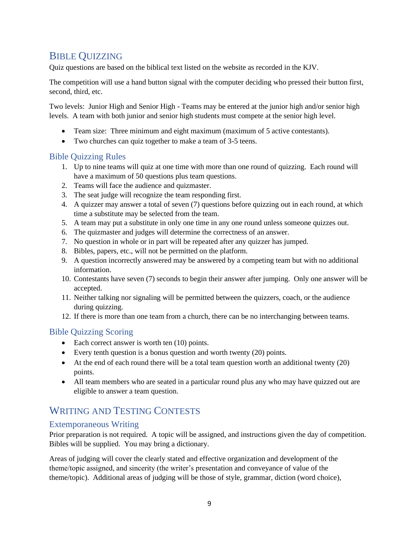# <span id="page-8-0"></span>BIBLE QUIZZING

Quiz questions are based on the biblical text listed on the website as recorded in the KJV.

The competition will use a hand button signal with the computer deciding who pressed their button first, second, third, etc.

Two levels: Junior High and Senior High - Teams may be entered at the junior high and/or senior high levels. A team with both junior and senior high students must compete at the senior high level.

- Team size: Three minimum and eight maximum (maximum of 5 active contestants).
- Two churches can quiz together to make a team of 3-5 teens.

## <span id="page-8-1"></span>Bible Quizzing Rules

- 1. Up to nine teams will quiz at one time with more than one round of quizzing. Each round will have a maximum of 50 questions plus team questions.
- 2. Teams will face the audience and quizmaster.
- 3. The seat judge will recognize the team responding first.
- 4. A quizzer may answer a total of seven (7) questions before quizzing out in each round, at which time a substitute may be selected from the team.
- 5. A team may put a substitute in only one time in any one round unless someone quizzes out.
- 6. The quizmaster and judges will determine the correctness of an answer.
- 7. No question in whole or in part will be repeated after any quizzer has jumped.
- 8. Bibles, papers, etc., will not be permitted on the platform.
- 9. A question incorrectly answered may be answered by a competing team but with no additional information.
- 10. Contestants have seven (7) seconds to begin their answer after jumping. Only one answer will be accepted.
- 11. Neither talking nor signaling will be permitted between the quizzers, coach, or the audience during quizzing.
- 12. If there is more than one team from a church, there can be no interchanging between teams.

# <span id="page-8-2"></span>Bible Quizzing Scoring

- Each correct answer is worth ten (10) points.
- Every tenth question is a bonus question and worth twenty (20) points.
- At the end of each round there will be a total team question worth an additional twenty (20) points.
- All team members who are seated in a particular round plus any who may have quizzed out are eligible to answer a team question.

# <span id="page-8-3"></span>WRITING AND TESTING CONTESTS

# <span id="page-8-4"></span>Extemporaneous Writing

Prior preparation is not required. A topic will be assigned, and instructions given the day of competition. Bibles will be supplied. You may bring a dictionary.

Areas of judging will cover the clearly stated and effective organization and development of the theme/topic assigned, and sincerity (the writer's presentation and conveyance of value of the theme/topic). Additional areas of judging will be those of style, grammar, diction (word choice),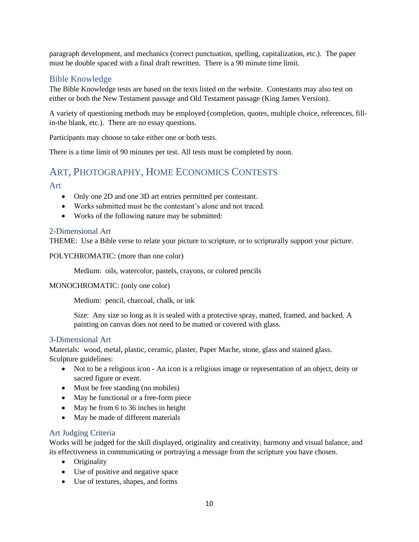paragraph development, and mechanics (correct punctuation, spelling, capitalization, etc.). The paper must be double spaced with a final draft rewritten. There is a 90 minute time limit.

# <span id="page-9-0"></span>Bible Knowledge

The Bible Knowledge tests are based on the texts listed on the website. Contestants may also test on either or both the New Testament passage and Old Testament passage (King James Version).

A variety of questioning methods may be employed (completion, quotes, multiple choice, references, fillin-the blank, etc.). There are no essay questions.

Participants may choose to take either one or both tests.

There is a time limit of 90 minutes per test. All tests must be completed by noon.

# <span id="page-9-1"></span>ART, PHOTOGRAPHY, HOME ECONOMICS CONTESTS

#### <span id="page-9-2"></span>Art

- Only one 2D and one 3D art entries permitted per contestant.
- Works submitted must be the contestant's alone and not traced.
- Works of the following nature may be submitted:

#### <span id="page-9-3"></span>2-Dimensional Art

THEME: Use a Bible verse to relate your picture to scripture, or to scripturally support your picture.

POLYCHROMATIC: (more than one color)

Medium: oils, watercolor, pastels, crayons, or colored pencils

#### MONOCHROMATIC: (only one color)

Medium: pencil, charcoal, chalk, or ink

Size: Any size so long as it is sealed with a protective spray, matted, framed, and backed. A painting on canvas does not need to be matted or covered with glass.

#### <span id="page-9-4"></span>3-Dimensional Art

Materials: wood, metal, plastic, ceramic, plaster, Paper Mache, stone, glass and stained glass. Sculpture guidelines:

- Not to be a religious icon An icon is a religious image or representation of an object, deity or sacred figure or event.
- Must be free standing (no mobiles)
- May be functional or a free-form piece
- May be from 6 to 36 inches in height
- May be made of different materials

#### <span id="page-9-5"></span>Art Judging Criteria

Works will be judged for the skill displayed, originality and creativity, harmony and visual balance, and its effectiveness in communicating or portraying a message from the scripture you have chosen.

- Originality
- Use of positive and negative space
- Use of textures, shapes, and forms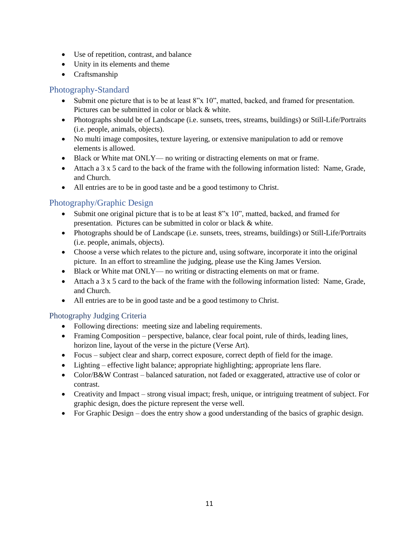- Use of repetition, contrast, and balance
- Unity in its elements and theme
- Craftsmanship

# <span id="page-10-0"></span>Photography-Standard

- Submit one picture that is to be at least 8"x 10", matted, backed, and framed for presentation. Pictures can be submitted in color or black & white.
- Photographs should be of Landscape (i.e. sunsets, trees, streams, buildings) or Still-Life/Portraits (i.e. people, animals, objects).
- No multi image composites, texture layering, or extensive manipulation to add or remove elements is allowed.
- Black or White mat ONLY— no writing or distracting elements on mat or frame.
- Attach a 3 x 5 card to the back of the frame with the following information listed: Name, Grade, and Church.
- All entries are to be in good taste and be a good testimony to Christ.

# <span id="page-10-1"></span>Photography/Graphic Design

- Submit one original picture that is to be at least 8"x 10", matted, backed, and framed for presentation. Pictures can be submitted in color or black & white.
- Photographs should be of Landscape (i.e. sunsets, trees, streams, buildings) or Still-Life/Portraits (i.e. people, animals, objects).
- Choose a verse which relates to the picture and, using software, incorporate it into the original picture. In an effort to streamline the judging, please use the King James Version.
- Black or White mat ONLY— no writing or distracting elements on mat or frame.
- Attach a 3 x 5 card to the back of the frame with the following information listed: Name, Grade, and Church.
- All entries are to be in good taste and be a good testimony to Christ.

# <span id="page-10-2"></span>Photography Judging Criteria

- Following directions: meeting size and labeling requirements.
- Framing Composition perspective, balance, clear focal point, rule of thirds, leading lines, horizon line, layout of the verse in the picture (Verse Art).
- Focus subject clear and sharp, correct exposure, correct depth of field for the image.
- Lighting effective light balance; appropriate highlighting; appropriate lens flare.
- Color/B&W Contrast balanced saturation, not faded or exaggerated, attractive use of color or contrast.
- Creativity and Impact strong visual impact; fresh, unique, or intriguing treatment of subject. For graphic design, does the picture represent the verse well.
- For Graphic Design does the entry show a good understanding of the basics of graphic design.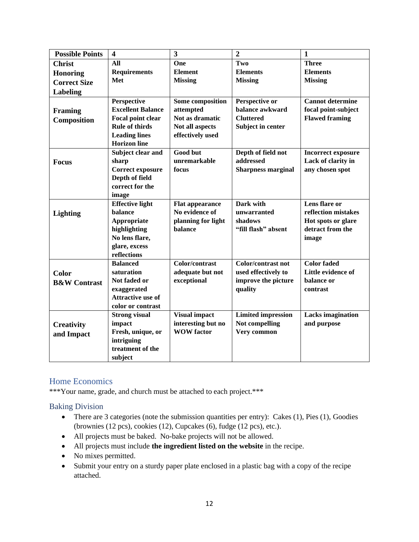| <b>Possible Points</b>  | $\overline{\mathbf{4}}$  | $\overline{\mathbf{3}}$ | $\overline{2}$            | $\mathbf{1}$              |
|-------------------------|--------------------------|-------------------------|---------------------------|---------------------------|
| <b>Christ</b>           | All                      | One                     | Two                       | <b>Three</b>              |
| <b>Honoring</b>         | <b>Requirements</b>      | <b>Element</b>          | <b>Elements</b>           | <b>Elements</b>           |
| <b>Correct Size</b>     | Met                      | <b>Missing</b>          | <b>Missing</b>            | <b>Missing</b>            |
| Labeling                |                          |                         |                           |                           |
|                         | Perspective              | <b>Some composition</b> | Perspective or            | <b>Cannot determine</b>   |
| Framing                 | <b>Excellent Balance</b> | attempted               | balance awkward           | focal point-subject       |
| Composition             | Focal point clear        | Not as dramatic         | <b>Cluttered</b>          | <b>Flawed framing</b>     |
|                         | <b>Rule of thirds</b>    | Not all aspects         | <b>Subject in center</b>  |                           |
|                         | <b>Leading lines</b>     | effectively used        |                           |                           |
|                         | <b>Horizon</b> line      |                         |                           |                           |
|                         | Subject clear and        | <b>Good but</b>         | Depth of field not        | <b>Incorrect exposure</b> |
| <b>Focus</b>            | sharp                    | unremarkable            | addressed                 | Lack of clarity in        |
|                         | <b>Correct exposure</b>  | focus                   | <b>Sharpness marginal</b> | any chosen spot           |
|                         | Depth of field           |                         |                           |                           |
|                         | correct for the          |                         |                           |                           |
|                         | image                    |                         |                           |                           |
|                         | <b>Effective light</b>   | <b>Flat appearance</b>  | Dark with                 | Lens flare or             |
| <b>Lighting</b>         | balance                  | No evidence of          | unwarranted               | reflection mistakes       |
|                         | Appropriate              | planning for light      | shadows                   | Hot spots or glare        |
|                         | highlighting             | balance                 | "fill flash" absent       | detract from the          |
|                         | No lens flare,           |                         |                           | image                     |
|                         | glare, excess            |                         |                           |                           |
|                         | reflections              |                         |                           |                           |
|                         | <b>Balanced</b>          | Color/contrast          | <b>Color/contrast not</b> | <b>Color</b> faded        |
| <b>Color</b>            | saturation               | adequate but not        | used effectively to       | Little evidence of        |
| <b>B&amp;W</b> Contrast | Not faded or             | exceptional             | improve the picture       | balance or                |
|                         | exaggerated              |                         | quality                   | contrast                  |
|                         | <b>Attractive use of</b> |                         |                           |                           |
|                         | color or contrast        |                         |                           |                           |
|                         | <b>Strong visual</b>     | <b>Visual impact</b>    | <b>Limited impression</b> | <b>Lacks</b> imagination  |
| <b>Creativity</b>       | impact                   | interesting but no      | Not compelling            | and purpose               |
| and Impact              | Fresh, unique, or        | <b>WOW</b> factor       | Very common               |                           |
|                         | intriguing               |                         |                           |                           |
|                         | treatment of the         |                         |                           |                           |
|                         | subject                  |                         |                           |                           |

# <span id="page-11-0"></span>Home Economics

\*\*\*Your name, grade, and church must be attached to each project.\*\*\*

#### <span id="page-11-1"></span>Baking Division

- There are 3 categories (note the submission quantities per entry): Cakes (1), Pies (1), Goodies (brownies (12 pcs), cookies (12), Cupcakes (6), fudge (12 pcs), etc.).
- All projects must be baked. No-bake projects will not be allowed.
- All projects must include **the ingredient listed on the website** in the recipe.
- No mixes permitted.
- Submit your entry on a sturdy paper plate enclosed in a plastic bag with a copy of the recipe attached.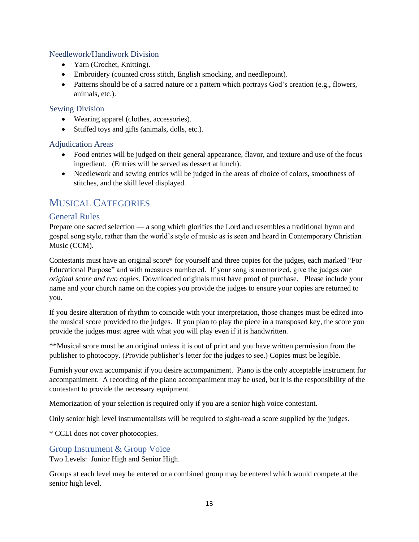## <span id="page-12-0"></span>Needlework/Handiwork Division

- Yarn (Crochet, Knitting).
- Embroidery (counted cross stitch, English smocking, and needlepoint).
- Patterns should be of a sacred nature or a pattern which portrays God's creation (e.g., flowers, animals, etc.).

#### <span id="page-12-1"></span>Sewing Division

- Wearing apparel (clothes, accessories).
- Stuffed toys and gifts (animals, dolls, etc.).

## <span id="page-12-2"></span>Adjudication Areas

- Food entries will be judged on their general appearance, flavor, and texture and use of the focus ingredient. (Entries will be served as dessert at lunch).
- Needlework and sewing entries will be judged in the areas of choice of colors, smoothness of stitches, and the skill level displayed.

# <span id="page-12-3"></span>MUSICAL CATEGORIES

# <span id="page-12-4"></span>General Rules

Prepare one sacred selection — a song which glorifies the Lord and resembles a traditional hymn and gospel song style, rather than the world's style of music as is seen and heard in Contemporary Christian Music (CCM).

Contestants must have an original score\* for yourself and three copies for the judges, each marked "For Educational Purpose" and with measures numbered. If your song is memorized, give the judges *one original score and two copies*. Downloaded originals must have proof of purchase. Please include your name and your church name on the copies you provide the judges to ensure your copies are returned to you.

If you desire alteration of rhythm to coincide with your interpretation, those changes must be edited into the musical score provided to the judges. If you plan to play the piece in a transposed key, the score you provide the judges must agree with what you will play even if it is handwritten.

\*\*Musical score must be an original unless it is out of print and you have written permission from the publisher to photocopy. (Provide publisher's letter for the judges to see.) Copies must be legible.

Furnish your own accompanist if you desire accompaniment. Piano is the only acceptable instrument for accompaniment. A recording of the piano accompaniment may be used, but it is the responsibility of the contestant to provide the necessary equipment.

Memorization of your selection is required only if you are a senior high voice contestant.

Only senior high level instrumentalists will be required to sight-read a score supplied by the judges.

\* CCLI does not cover photocopies.

# <span id="page-12-5"></span>Group Instrument & Group Voice

Two Levels: Junior High and Senior High.

Groups at each level may be entered or a combined group may be entered which would compete at the senior high level.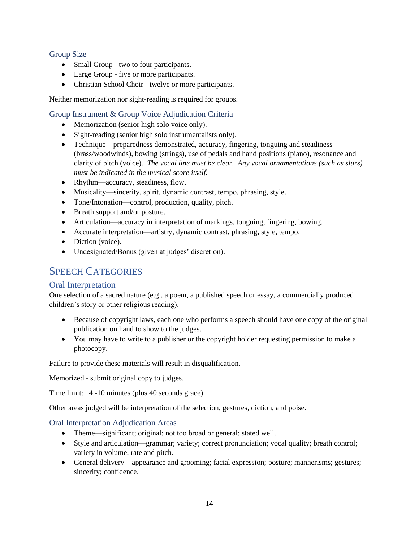#### <span id="page-13-0"></span>Group Size

- Small Group two to four participants.
- Large Group five or more participants.
- Christian School Choir twelve or more participants.

Neither memorization nor sight-reading is required for groups.

## <span id="page-13-1"></span>Group Instrument & Group Voice Adjudication Criteria

- Memorization (senior high solo voice only).
- Sight-reading (senior high solo instrumentalists only).
- Technique—preparedness demonstrated, accuracy, fingering, tonguing and steadiness (brass/woodwinds), bowing (strings), use of pedals and hand positions (piano), resonance and clarity of pitch (voice). *The vocal line must be clear. Any vocal ornamentations (such as slurs) must be indicated in the musical score itself.*
- Rhythm—accuracy, steadiness, flow.
- Musicality—sincerity, spirit, dynamic contrast, tempo, phrasing, style.
- Tone/Intonation—control, production, quality, pitch.
- Breath support and/or posture.
- Articulation—accuracy in interpretation of markings, tonguing, fingering, bowing.
- Accurate interpretation—artistry, dynamic contrast, phrasing, style, tempo.
- Diction (voice).
- Undesignated/Bonus (given at judges' discretion).

# <span id="page-13-2"></span>SPEECH CATEGORIES

# <span id="page-13-3"></span>Oral Interpretation

One selection of a sacred nature (e.g., a poem, a published speech or essay, a commercially produced children's story or other religious reading).

- Because of copyright laws, each one who performs a speech should have one copy of the original publication on hand to show to the judges.
- You may have to write to a publisher or the copyright holder requesting permission to make a photocopy.

Failure to provide these materials will result in disqualification.

Memorized - submit original copy to judges.

Time limit: 4 -10 minutes (plus 40 seconds grace).

Other areas judged will be interpretation of the selection, gestures, diction, and poise.

<span id="page-13-4"></span>Oral Interpretation Adjudication Areas

- Theme—significant; original; not too broad or general; stated well.
- Style and articulation—grammar; variety; correct pronunciation; vocal quality; breath control; variety in volume, rate and pitch.
- General delivery—appearance and grooming; facial expression; posture; mannerisms; gestures; sincerity; confidence.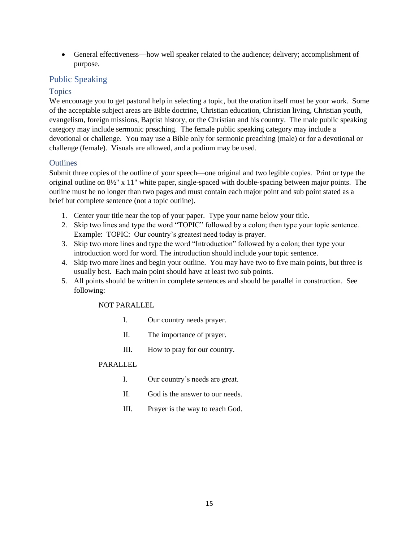• General effectiveness—how well speaker related to the audience; delivery; accomplishment of purpose.

# <span id="page-14-0"></span>Public Speaking

## <span id="page-14-1"></span>**Topics**

We encourage you to get pastoral help in selecting a topic, but the oration itself must be your work. Some of the acceptable subject areas are Bible doctrine, Christian education, Christian living, Christian youth, evangelism, foreign missions, Baptist history, or the Christian and his country. The male public speaking category may include sermonic preaching. The female public speaking category may include a devotional or challenge. You may use a Bible only for sermonic preaching (male) or for a devotional or challenge (female). Visuals are allowed, and a podium may be used.

## <span id="page-14-2"></span>**Outlines**

Submit three copies of the outline of your speech—one original and two legible copies. Print or type the original outline on 8½" x 11" white paper, single-spaced with double-spacing between major points. The outline must be no longer than two pages and must contain each major point and sub point stated as a brief but complete sentence (not a topic outline).

- 1. Center your title near the top of your paper. Type your name below your title.
- 2. Skip two lines and type the word "TOPIC" followed by a colon; then type your topic sentence. Example: TOPIC: Our country's greatest need today is prayer.
- 3. Skip two more lines and type the word "Introduction" followed by a colon; then type your introduction word for word. The introduction should include your topic sentence.
- 4. Skip two more lines and begin your outline. You may have two to five main points, but three is usually best. Each main point should have at least two sub points.
- 5. All points should be written in complete sentences and should be parallel in construction. See following:

NOT PARALLEL

- I. Our country needs prayer.
- II. The importance of prayer.
- III. How to pray for our country.

#### PARALLEL

- I. Our country's needs are great.
- II. God is the answer to our needs.
- III. Prayer is the way to reach God.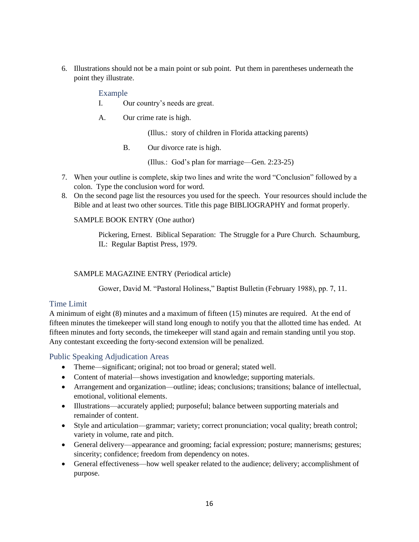<span id="page-15-0"></span>6. Illustrations should not be a main point or sub point. Put them in parentheses underneath the point they illustrate.

#### Example

I. Our country's needs are great.

A. Our crime rate is high.

(Illus.: story of children in Florida attacking parents)

B. Our divorce rate is high.

(Illus.: God's plan for marriage—Gen. 2:23-25)

- 7. When your outline is complete, skip two lines and write the word "Conclusion" followed by a colon. Type the conclusion word for word.
- 8. On the second page list the resources you used for the speech. Your resources should include the Bible and at least two other sources. Title this page BIBLIOGRAPHY and format properly.

#### SAMPLE BOOK ENTRY (One author)

Pickering, Ernest. Biblical Separation: The Struggle for a Pure Church. Schaumburg, IL: Regular Baptist Press, 1979.

#### SAMPLE MAGAZINE ENTRY (Periodical article)

Gower, David M. "Pastoral Holiness," Baptist Bulletin (February 1988), pp. 7, 11.

#### <span id="page-15-1"></span>Time Limit

A minimum of eight (8) minutes and a maximum of fifteen (15) minutes are required. At the end of fifteen minutes the timekeeper will stand long enough to notify you that the allotted time has ended. At fifteen minutes and forty seconds, the timekeeper will stand again and remain standing until you stop. Any contestant exceeding the forty-second extension will be penalized.

#### <span id="page-15-2"></span>Public Speaking Adjudication Areas

- Theme—significant; original; not too broad or general; stated well.
- Content of material—shows investigation and knowledge; supporting materials.
- Arrangement and organization—outline; ideas; conclusions; transitions; balance of intellectual, emotional, volitional elements.
- Illustrations—accurately applied; purposeful; balance between supporting materials and remainder of content.
- Style and articulation—grammar; variety; correct pronunciation; vocal quality; breath control; variety in volume, rate and pitch.
- General delivery—appearance and grooming; facial expression; posture; mannerisms; gestures; sincerity; confidence; freedom from dependency on notes.
- General effectiveness—how well speaker related to the audience; delivery; accomplishment of purpose.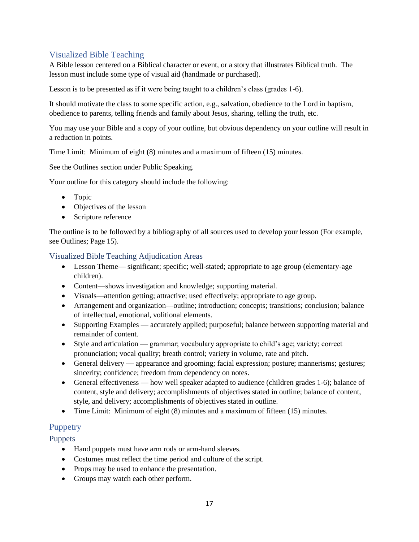# <span id="page-16-0"></span>Visualized Bible Teaching

A Bible lesson centered on a Biblical character or event, or a story that illustrates Biblical truth. The lesson must include some type of visual aid (handmade or purchased).

Lesson is to be presented as if it were being taught to a children's class (grades 1-6).

It should motivate the class to some specific action, e.g., salvation, obedience to the Lord in baptism, obedience to parents, telling friends and family about Jesus, sharing, telling the truth, etc.

You may use your Bible and a copy of your outline, but obvious dependency on your outline will result in a reduction in points.

Time Limit: Minimum of eight (8) minutes and a maximum of fifteen (15) minutes.

See the Outlines section under Public Speaking.

Your outline for this category should include the following:

- Topic
- Objectives of the lesson
- Scripture reference

The outline is to be followed by a bibliography of all sources used to develop your lesson (For example, see Outlines; Page 15).

#### <span id="page-16-1"></span>Visualized Bible Teaching Adjudication Areas

- Lesson Theme— significant; specific; well-stated; appropriate to age group (elementary-age children).
- Content—shows investigation and knowledge; supporting material.
- Visuals—attention getting; attractive; used effectively; appropriate to age group.
- Arrangement and organization—outline; introduction; concepts; transitions; conclusion; balance of intellectual, emotional, volitional elements.
- Supporting Examples accurately applied; purposeful; balance between supporting material and remainder of content.
- Style and articulation grammar; vocabulary appropriate to child's age; variety; correct pronunciation; vocal quality; breath control; variety in volume, rate and pitch.
- General delivery appearance and grooming; facial expression; posture; mannerisms; gestures; sincerity; confidence; freedom from dependency on notes.
- General effectiveness how well speaker adapted to audience (children grades 1-6); balance of content, style and delivery; accomplishments of objectives stated in outline; balance of content, style, and delivery; accomplishments of objectives stated in outline.
- Time Limit: Minimum of eight (8) minutes and a maximum of fifteen (15) minutes.

# <span id="page-16-2"></span>**Puppetry**

<span id="page-16-3"></span>**Puppets** 

- Hand puppets must have arm rods or arm-hand sleeves.
- Costumes must reflect the time period and culture of the script.
- Props may be used to enhance the presentation.
- Groups may watch each other perform.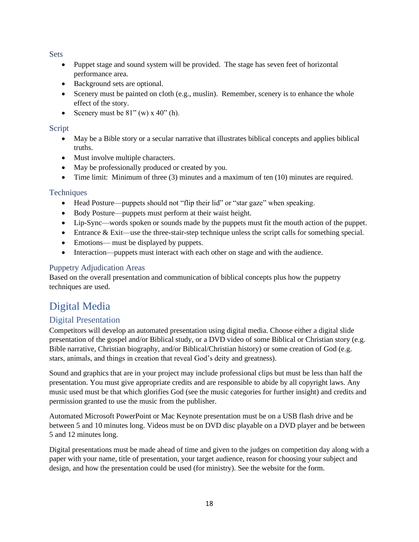<span id="page-17-0"></span>**Sets** 

- Puppet stage and sound system will be provided. The stage has seven feet of horizontal performance area.
- Background sets are optional.
- Scenery must be painted on cloth (e.g., muslin). Remember, scenery is to enhance the whole effect of the story.
- Scenery must be  $81"$  (w)  $x\ 40"$  (h).

## <span id="page-17-1"></span>Script

- May be a Bible story or a secular narrative that illustrates biblical concepts and applies biblical truths.
- Must involve multiple characters.
- May be professionally produced or created by you.
- Time limit: Minimum of three (3) minutes and a maximum of ten (10) minutes are required.

#### <span id="page-17-2"></span>**Techniques**

- Head Posture—puppets should not "flip their lid" or "star gaze" when speaking.
- Body Posture—puppets must perform at their waist height.
- Lip-Sync—words spoken or sounds made by the puppets must fit the mouth action of the puppet.
- Entrance & Exit—use the three-stair-step technique unless the script calls for something special.
- Emotions— must be displayed by puppets.
- Interaction—puppets must interact with each other on stage and with the audience.

## <span id="page-17-3"></span>Puppetry Adjudication Areas

Based on the overall presentation and communication of biblical concepts plus how the puppetry techniques are used.

# <span id="page-17-4"></span>Digital Media

# <span id="page-17-5"></span>Digital Presentation

Competitors will develop an automated presentation using digital media. Choose either a digital slide presentation of the gospel and/or Biblical study, or a DVD video of some Biblical or Christian story (e.g. Bible narrative, Christian biography, and/or Biblical/Christian history) or some creation of God (e.g. stars, animals, and things in creation that reveal God's deity and greatness).

Sound and graphics that are in your project may include professional clips but must be less than half the presentation. You must give appropriate credits and are responsible to abide by all copyright laws. Any music used must be that which glorifies God (see the music categories for further insight) and credits and permission granted to use the music from the publisher.

Automated Microsoft PowerPoint or Mac Keynote presentation must be on a USB flash drive and be between 5 and 10 minutes long. Videos must be on DVD disc playable on a DVD player and be between 5 and 12 minutes long.

Digital presentations must be made ahead of time and given to the judges on competition day along with a paper with your name, title of presentation, your target audience, reason for choosing your subject and design, and how the presentation could be used (for ministry). See the website for the form.